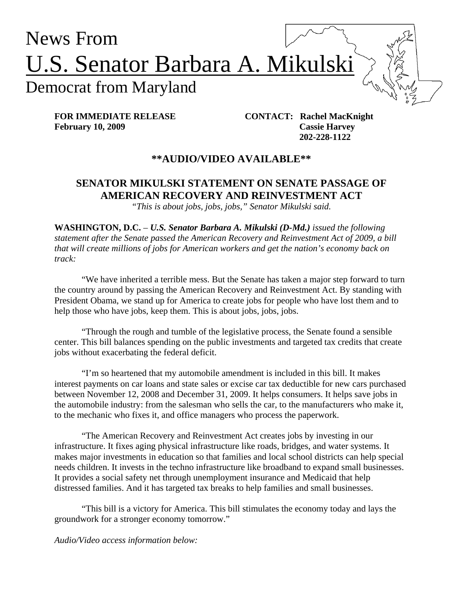

**February 10, 2009 Cassie Harvey** 

 **202-228-1122** 

## **\*\*AUDIO/VIDEO AVAILABLE\*\***

## **SENATOR MIKULSKI STATEMENT ON SENATE PASSAGE OF AMERICAN RECOVERY AND REINVESTMENT ACT**

*"This is about jobs, jobs, jobs," Senator Mikulski said.* 

**WASHINGTON, D.C.** *– U.S. Senator Barbara A. Mikulski (D-Md.) issued the following statement after the Senate passed the American Recovery and Reinvestment Act of 2009, a bill that will create millions of jobs for American workers and get the nation's economy back on track:* 

"We have inherited a terrible mess. But the Senate has taken a major step forward to turn the country around by passing the American Recovery and Reinvestment Act. By standing with President Obama, we stand up for America to create jobs for people who have lost them and to help those who have jobs, keep them. This is about jobs, jobs, jobs.

"Through the rough and tumble of the legislative process, the Senate found a sensible center. This bill balances spending on the public investments and targeted tax credits that create jobs without exacerbating the federal deficit.

"I'm so heartened that my automobile amendment is included in this bill. It makes interest payments on car loans and state sales or excise car tax deductible for new cars purchased between November 12, 2008 and December 31, 2009. It helps consumers. It helps save jobs in the automobile industry: from the salesman who sells the car, to the manufacturers who make it, to the mechanic who fixes it, and office managers who process the paperwork.

"The American Recovery and Reinvestment Act creates jobs by investing in our infrastructure. It fixes aging physical infrastructure like roads, bridges, and water systems. It makes major investments in education so that families and local school districts can help special needs children. It invests in the techno infrastructure like broadband to expand small businesses. It provides a social safety net through unemployment insurance and Medicaid that help distressed families. And it has targeted tax breaks to help families and small businesses.

"This bill is a victory for America. This bill stimulates the economy today and lays the groundwork for a stronger economy tomorrow."

*Audio/Video access information below:*